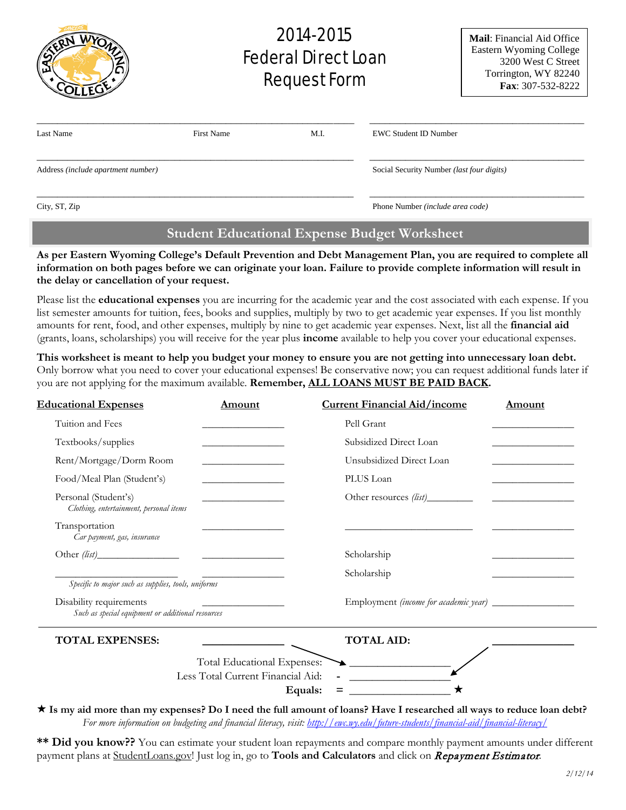|                                    |                   | 2014-2015<br><b>Federal Direct Loan</b><br><b>Request Form</b> |                                           | <b>Mail:</b> Financial Aid Office<br>Eastern Wyoming College<br>3200 West C Street<br>Torrington, WY 82240<br>Fax: 307-532-8222 |
|------------------------------------|-------------------|----------------------------------------------------------------|-------------------------------------------|---------------------------------------------------------------------------------------------------------------------------------|
| Last Name                          | <b>First Name</b> | M.I.                                                           | <b>EWC Student ID Number</b>              |                                                                                                                                 |
| Address (include apartment number) |                   |                                                                | Social Security Number (last four digits) |                                                                                                                                 |
| City, ST, Zip                      |                   |                                                                | Phone Number (include area code)          |                                                                                                                                 |

# **Student Educational Expense Budget Worksheet**

**As per Eastern Wyoming College's Default Prevention and Debt Management Plan, you are required to complete all information on both pages before we can originate your loan. Failure to provide complete information will result in the delay or cancellation of your request.**

Please list the **educational expenses** you are incurring for the academic year and the cost associated with each expense. If you list semester amounts for tuition, fees, books and supplies, multiply by two to get academic year expenses. If you list monthly amounts for rent, food, and other expenses, multiply by nine to get academic year expenses. Next, list all the **financial aid** (grants, loans, scholarships) you will receive for the year plus **income** available to help you cover your educational expenses.

**This worksheet is meant to help you budget your money to ensure you are not getting into unnecessary loan debt.**  Only borrow what you need to cover your educational expenses! Be conservative now; you can request additional funds later if you are not applying for the maximum available. **Remember, ALL LOANS MUST BE PAID BACK.** 

| <b>Educational Expenses</b>                                                  | <u>Amount</u>                                                                                                        | <b>Current Financial Aid/income</b>                                                                                          | <b>Amount</b> |
|------------------------------------------------------------------------------|----------------------------------------------------------------------------------------------------------------------|------------------------------------------------------------------------------------------------------------------------------|---------------|
| Tuition and Fees                                                             |                                                                                                                      | Pell Grant                                                                                                                   |               |
| Textbooks/supplies                                                           | <u> 1989 - Johann Barbara, martin a</u>                                                                              | Subsidized Direct Loan                                                                                                       |               |
| Rent/Mortgage/Dorm Room                                                      |                                                                                                                      | Unsubsidized Direct Loan                                                                                                     |               |
| Food/Meal Plan (Student's)                                                   |                                                                                                                      | PLUS Loan                                                                                                                    |               |
| Personal (Student's)<br>Clothing, entertainment, personal items              | <u> 1980 - Johann Barbara, martin da basar a shekara 1980 - An tsa a tsara 1980 - An tsa a tsa a tsa a tsa a tsa</u> |                                                                                                                              |               |
| Transportation<br>Car payment, gas, insurance                                |                                                                                                                      |                                                                                                                              |               |
|                                                                              |                                                                                                                      | Scholarship                                                                                                                  |               |
| Specific to major such as supplies, tools, uniforms                          |                                                                                                                      | Scholarship                                                                                                                  |               |
| Disability requirements<br>Such as special equipment or additional resources |                                                                                                                      | Employment (income for academic year) ________________                                                                       |               |
| <b>TOTAL EXPENSES:</b>                                                       |                                                                                                                      | <b>TOTAL AID:</b>                                                                                                            |               |
|                                                                              | Total Educational Expenses:<br>Less Total Current Financial Aid:<br>Equals:                                          | $\begin{array}{c} \star \end{array}$                                                                                         |               |
|                                                                              |                                                                                                                      | $\star$ Is my aid more than my expenses? Do I need the full amount of loans? Have I researched all ways to reduce loan debt? |               |

*For more information on budgeting and financial literacy, visit:<http://ewc.wy.edu/future-students/financial-aid/financial-literacy/>*

**\*\* Did you know??** You can estimate your student loan repayments and compare monthly payment amounts under different payment plans at StudentLoans.gov! Just log in, go to **Tools and Calculators** and click on Repayment Estimator.